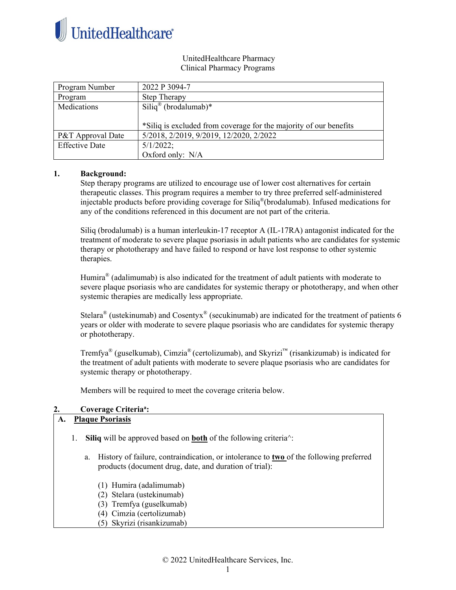

### UnitedHealthcare Pharmacy Clinical Pharmacy Programs

| Program Number        | 2022 P 3094-7                                                     |
|-----------------------|-------------------------------------------------------------------|
| Program               | Step Therapy                                                      |
| Medications           | $\text{Siliq}^{\circledR}$ (brodalumab)*                          |
|                       |                                                                   |
|                       | *Siliq is excluded from coverage for the majority of our benefits |
| P&T Approval Date     | 5/2018, 2/2019, 9/2019, 12/2020, 2/2022                           |
| <b>Effective Date</b> | $5/1/2022$ ;                                                      |
|                       | Oxford only: N/A                                                  |

### **1. Background:**

Step therapy programs are utilized to encourage use of lower cost alternatives for certain therapeutic classes. This program requires a member to try three preferred self-administered injectable products before providing coverage for Siliq®(brodalumab). Infused medications for any of the conditions referenced in this document are not part of the criteria.

Siliq (brodalumab) is a human interleukin-17 receptor A (IL-17RA) antagonist indicated for the treatment of moderate to severe plaque psoriasis in adult patients who are candidates for systemic therapy or phototherapy and have failed to respond or have lost response to other systemic therapies.

Humira<sup>®</sup> (adalimumab) is also indicated for the treatment of adult patients with moderate to severe plaque psoriasis who are candidates for systemic therapy or phototherapy, and when other systemic therapies are medically less appropriate.

Stelara<sup>®</sup> (ustekinumab) and Cosentyx<sup>®</sup> (secukinumab) are indicated for the treatment of patients 6 years or older with moderate to severe plaque psoriasis who are candidates for systemic therapy or phototherapy.

Tremfya® (guselkumab), Cimzia® (certolizumab), and Skyrizi™ (risankizumab) is indicated for the treatment of adult patients with moderate to severe plaque psoriasis who are candidates for systemic therapy or phototherapy.

Members will be required to meet the coverage criteria below.

# **2. Coverage Criteriaa :**

# **A. Plaque Psoriasis**

- 1. **Siliq** will be approved based on **both** of the following criteria^:
	- a. History of failure, contraindication, or intolerance to **two** of the following preferred products (document drug, date, and duration of trial):
		- (1) Humira (adalimumab)
		- (2) Stelara (ustekinumab)
		- (3) Tremfya (guselkumab)
		- (4) Cimzia (certolizumab)
		- (5) Skyrizi (risankizumab)

© 2022 UnitedHealthcare Services, Inc.